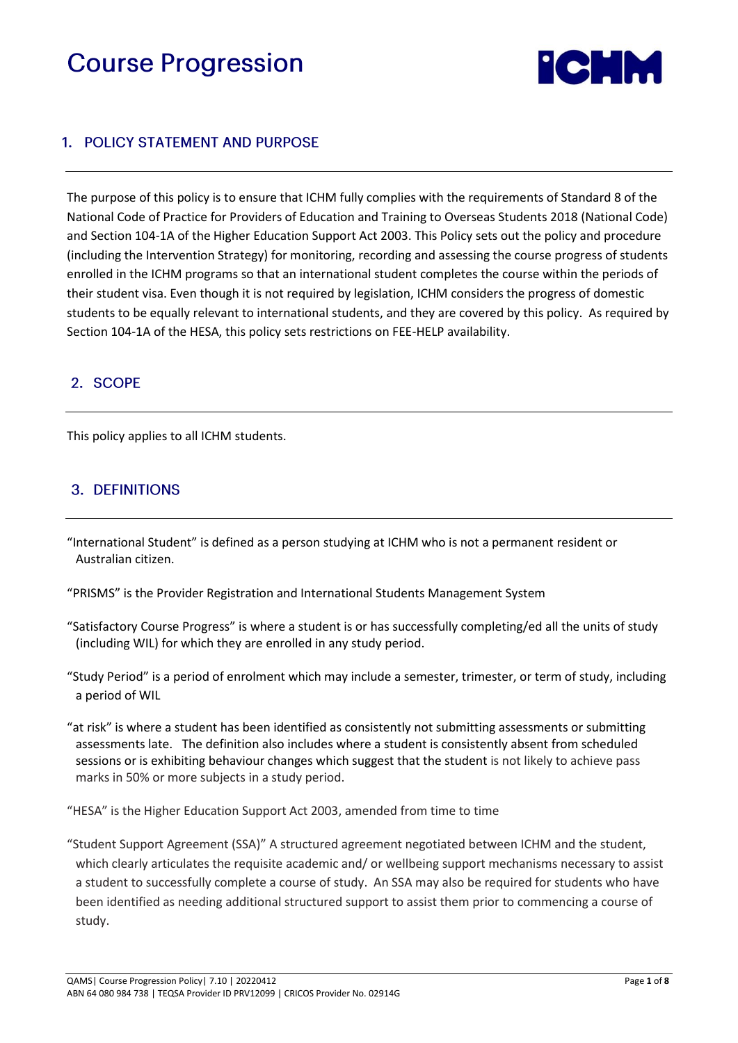# **Course Progression**



## 1. POLICY STATEMENT AND PURPOSE

The purpose of this policy is to ensure that ICHM fully complies with the requirements of Standard 8 of the National Code of Practice for Providers of Education and Training to Overseas Students 2018 (National Code) and Section 104-1A of the Higher Education Support Act 2003. This Policy sets out the policy and procedure (including the Intervention Strategy) for monitoring, recording and assessing the course progress of students enrolled in the ICHM programs so that an international student completes the course within the periods of their student visa. Even though it is not required by legislation, ICHM considers the progress of domestic students to be equally relevant to international students, and they are covered by this policy. As required by Section 104-1A of the HESA, this policy sets restrictions on FEE-HELP availability.

## 2. SCOPE

This policy applies to all ICHM students.

## 3. DEFINITIONS

- "International Student" is defined as a person studying at ICHM who is not a permanent resident or Australian citizen.
- "PRISMS" is the Provider Registration and International Students Management System
- "Satisfactory Course Progress" is where a student is or has successfully completing/ed all the units of study (including WIL) for which they are enrolled in any study period.
- "Study Period" is a period of enrolment which may include a semester, trimester, or term of study, including a period of WIL
- "at risk" is where a student has been identified as consistently not submitting assessments or submitting assessments late. The definition also includes where a student is consistently absent from scheduled sessions or is exhibiting behaviour changes which suggest that the student is not likely to achieve pass marks in 50% or more subjects in a study period.

"HESA" is the Higher Education Support Act 2003, amended from time to time

"Student Support Agreement (SSA)" A structured agreement negotiated between ICHM and the student, which clearly articulates the requisite academic and/ or wellbeing support mechanisms necessary to assist a student to successfully complete a course of study. An SSA may also be required for students who have been identified as needing additional structured support to assist them prior to commencing a course of study.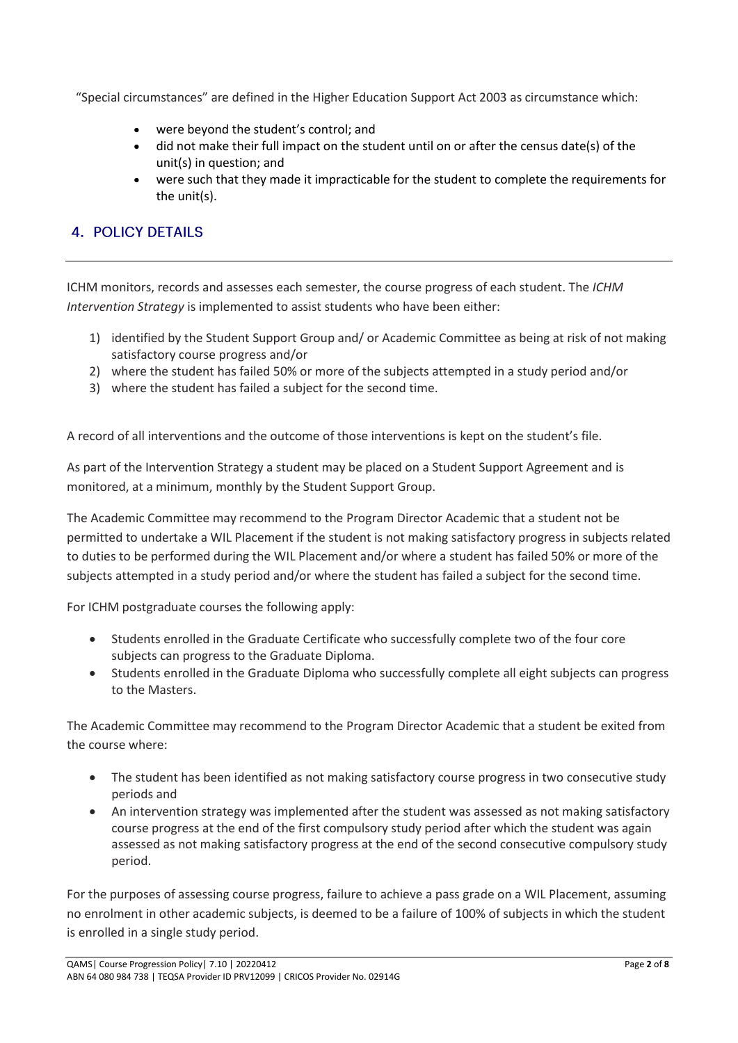"Special circumstances" are defined in the Higher Education Support Act 2003 as circumstance which:

- were beyond the student's control; and
- did not make their full impact on the student until on or after the census date(s) of the unit(s) in question; and
- were such that they made it impracticable for the student to complete the requirements for the unit(s).

## **4. POLICY DETAILS**

ICHM monitors, records and assesses each semester, the course progress of each student. The *ICHM Intervention Strategy* is implemented to assist students who have been either:

- 1) identified by the Student Support Group and/ or Academic Committee as being at risk of not making satisfactory course progress and/or
- 2) where the student has failed 50% or more of the subjects attempted in a study period and/or
- 3) where the student has failed a subject for the second time.

A record of all interventions and the outcome of those interventions is kept on the student's file.

As part of the Intervention Strategy a student may be placed on a Student Support Agreement and is monitored, at a minimum, monthly by the Student Support Group.

The Academic Committee may recommend to the Program Director Academic that a student not be permitted to undertake a WIL Placement if the student is not making satisfactory progress in subjects related to duties to be performed during the WIL Placement and/or where a student has failed 50% or more of the subjects attempted in a study period and/or where the student has failed a subject for the second time.

For ICHM postgraduate courses the following apply:

- Students enrolled in the Graduate Certificate who successfully complete two of the four core subjects can progress to the Graduate Diploma.
- Students enrolled in the Graduate Diploma who successfully complete all eight subjects can progress to the Masters.

The Academic Committee may recommend to the Program Director Academic that a student be exited from the course where:

- The student has been identified as not making satisfactory course progress in two consecutive study periods and
- An intervention strategy was implemented after the student was assessed as not making satisfactory course progress at the end of the first compulsory study period after which the student was again assessed as not making satisfactory progress at the end of the second consecutive compulsory study period.

For the purposes of assessing course progress, failure to achieve a pass grade on a WIL Placement, assuming no enrolment in other academic subjects, is deemed to be a failure of 100% of subjects in which the student is enrolled in a single study period.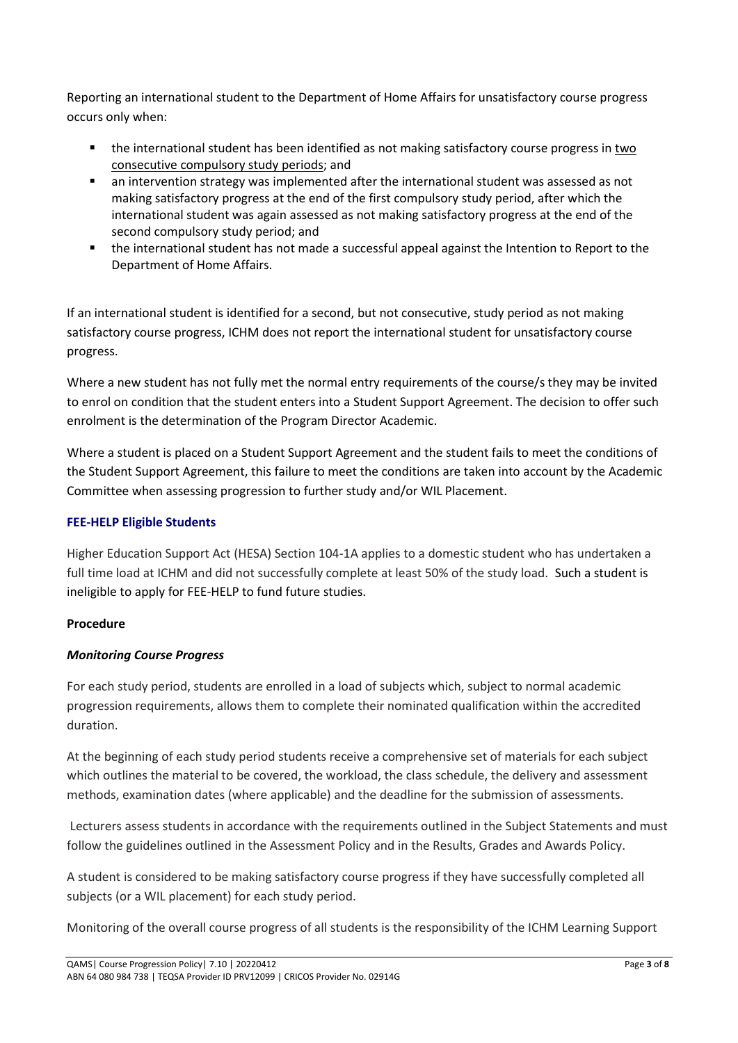Reporting an international student to the Department of Home Affairs for unsatisfactory course progress occurs only when:

- the international student has been identified as not making satisfactory course progress in two consecutive compulsory study periods; and
- an intervention strategy was implemented after the international student was assessed as not making satisfactory progress at the end of the first compulsory study period, after which the international student was again assessed as not making satisfactory progress at the end of the second compulsory study period; and
- the international student has not made a successful appeal against the Intention to Report to the Department of Home Affairs.

If an international student is identified for a second, but not consecutive, study period as not making satisfactory course progress, ICHM does not report the international student for unsatisfactory course progress.

Where a new student has not fully met the normal entry requirements of the course/s they may be invited to enrol on condition that the student enters into a Student Support Agreement. The decision to offer such enrolment is the determination of the Program Director Academic.

Where a student is placed on a Student Support Agreement and the student fails to meet the conditions of the Student Support Agreement, this failure to meet the conditions are taken into account by the Academic Committee when assessing progression to further study and/or WIL Placement.

### **FEE-HELP Eligible Students**

Higher Education Support Act (HESA) Section 104-1A applies to a domestic student who has undertaken a full time load at ICHM and did not successfully complete at least 50% of the study load. Such a student is ineligible to apply for FEE-HELP to fund future studies.

#### **Procedure**

#### *Monitoring Course Progress*

For each study period, students are enrolled in a load of subjects which, subject to normal academic progression requirements, allows them to complete their nominated qualification within the accredited duration.

At the beginning of each study period students receive a comprehensive set of materials for each subject which outlines the material to be covered, the workload, the class schedule, the delivery and assessment methods, examination dates (where applicable) and the deadline for the submission of assessments.

Lecturers assess students in accordance with the requirements outlined in the Subject Statements and must follow the guidelines outlined in the Assessment Policy and in the Results, Grades and Awards Policy.

A student is considered to be making satisfactory course progress if they have successfully completed all subjects (or a WIL placement) for each study period.

Monitoring of the overall course progress of all students is the responsibility of the ICHM Learning Support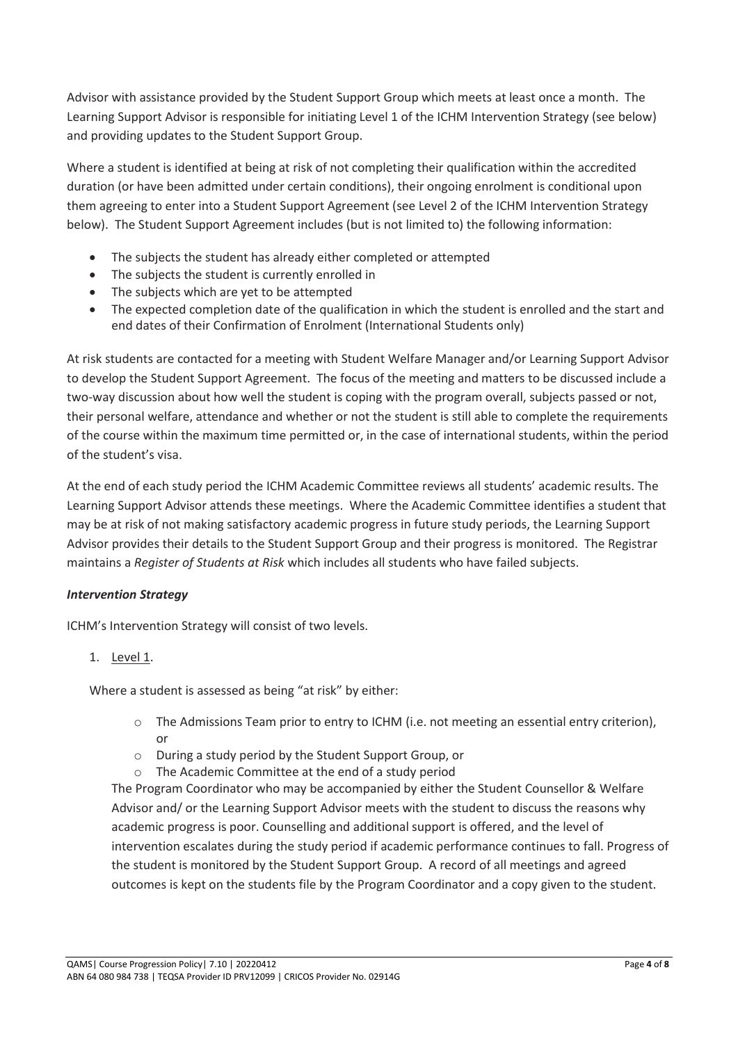Advisor with assistance provided by the Student Support Group which meets at least once a month. The Learning Support Advisor is responsible for initiating Level 1 of the ICHM Intervention Strategy (see below) and providing updates to the Student Support Group.

Where a student is identified at being at risk of not completing their qualification within the accredited duration (or have been admitted under certain conditions), their ongoing enrolment is conditional upon them agreeing to enter into a Student Support Agreement (see Level 2 of the ICHM Intervention Strategy below). The Student Support Agreement includes (but is not limited to) the following information:

- The subjects the student has already either completed or attempted
- The subjects the student is currently enrolled in
- The subjects which are yet to be attempted
- The expected completion date of the qualification in which the student is enrolled and the start and end dates of their Confirmation of Enrolment (International Students only)

At risk students are contacted for a meeting with Student Welfare Manager and/or Learning Support Advisor to develop the Student Support Agreement. The focus of the meeting and matters to be discussed include a two-way discussion about how well the student is coping with the program overall, subjects passed or not, their personal welfare, attendance and whether or not the student is still able to complete the requirements of the course within the maximum time permitted or, in the case of international students, within the period of the student's visa.

At the end of each study period the ICHM Academic Committee reviews all students' academic results. The Learning Support Advisor attends these meetings. Where the Academic Committee identifies a student that may be at risk of not making satisfactory academic progress in future study periods, the Learning Support Advisor provides their details to the Student Support Group and their progress is monitored. The Registrar maintains a *Register of Students at Risk* which includes all students who have failed subjects.

#### *Intervention Strategy*

ICHM's Intervention Strategy will consist of two levels.

1. Level 1.

Where a student is assessed as being "at risk" by either:

- o The Admissions Team prior to entry to ICHM (i.e. not meeting an essential entry criterion), or
- o During a study period by the Student Support Group, or
- o The Academic Committee at the end of a study period

The Program Coordinator who may be accompanied by either the Student Counsellor & Welfare Advisor and/ or the Learning Support Advisor meets with the student to discuss the reasons why academic progress is poor. Counselling and additional support is offered, and the level of intervention escalates during the study period if academic performance continues to fall. Progress of the student is monitored by the Student Support Group. A record of all meetings and agreed outcomes is kept on the students file by the Program Coordinator and a copy given to the student.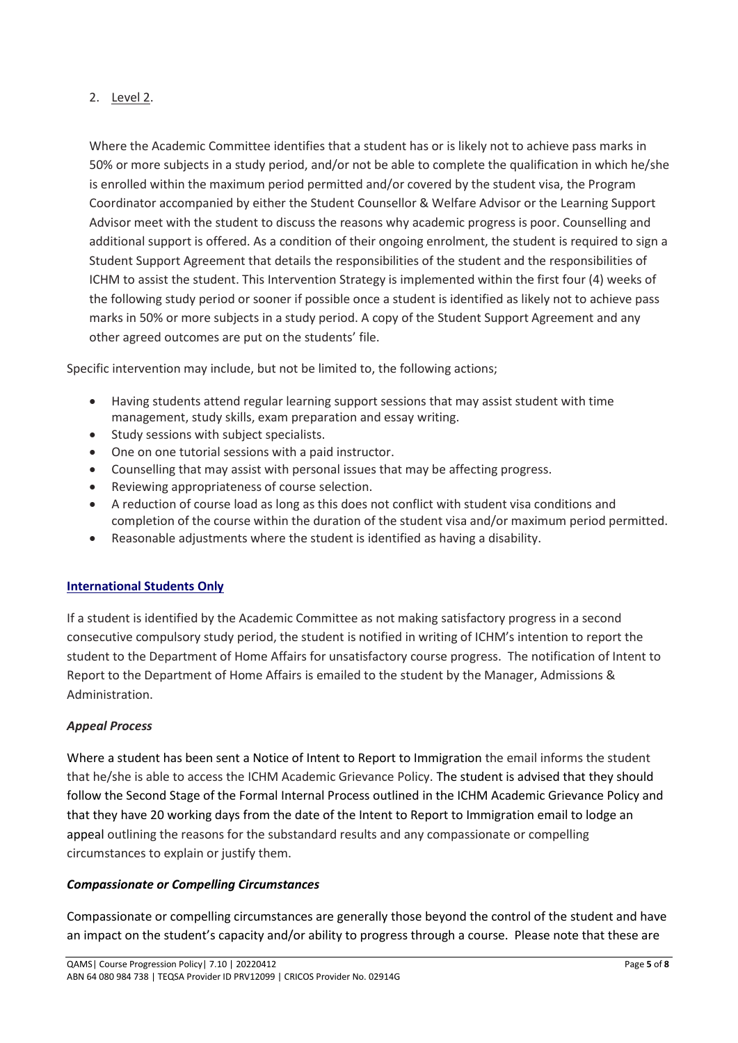#### 2. Level 2.

Where the Academic Committee identifies that a student has or is likely not to achieve pass marks in 50% or more subjects in a study period, and/or not be able to complete the qualification in which he/she is enrolled within the maximum period permitted and/or covered by the student visa, the Program Coordinator accompanied by either the Student Counsellor & Welfare Advisor or the Learning Support Advisor meet with the student to discuss the reasons why academic progress is poor. Counselling and additional support is offered. As a condition of their ongoing enrolment, the student is required to sign a Student Support Agreement that details the responsibilities of the student and the responsibilities of ICHM to assist the student. This Intervention Strategy is implemented within the first four (4) weeks of the following study period or sooner if possible once a student is identified as likely not to achieve pass marks in 50% or more subjects in a study period. A copy of the Student Support Agreement and any other agreed outcomes are put on the students' file.

Specific intervention may include, but not be limited to, the following actions;

- Having students attend regular learning support sessions that may assist student with time management, study skills, exam preparation and essay writing.
- Study sessions with subject specialists.
- One on one tutorial sessions with a paid instructor.
- Counselling that may assist with personal issues that may be affecting progress.
- Reviewing appropriateness of course selection.
- A reduction of course load as long as this does not conflict with student visa conditions and completion of the course within the duration of the student visa and/or maximum period permitted.
- Reasonable adjustments where the student is identified as having a disability.

#### **International Students Only**

If a student is identified by the Academic Committee as not making satisfactory progress in a second consecutive compulsory study period, the student is notified in writing of ICHM's intention to report the student to the Department of Home Affairs for unsatisfactory course progress. The notification of Intent to Report to the Department of Home Affairs is emailed to the student by the Manager, Admissions & Administration.

#### *Appeal Process*

Where a student has been sent a Notice of Intent to Report to Immigration the email informs the student that he/she is able to access the ICHM Academic Grievance Policy. The student is advised that they should follow the Second Stage of the Formal Internal Process outlined in the ICHM Academic Grievance Policy and that they have 20 working days from the date of the Intent to Report to Immigration email to lodge an appeal outlining the reasons for the substandard results and any compassionate or compelling circumstances to explain or justify them.

#### *Compassionate or Compelling Circumstances*

Compassionate or compelling circumstances are generally those beyond the control of the student and have an impact on the student's capacity and/or ability to progress through a course. Please note that these are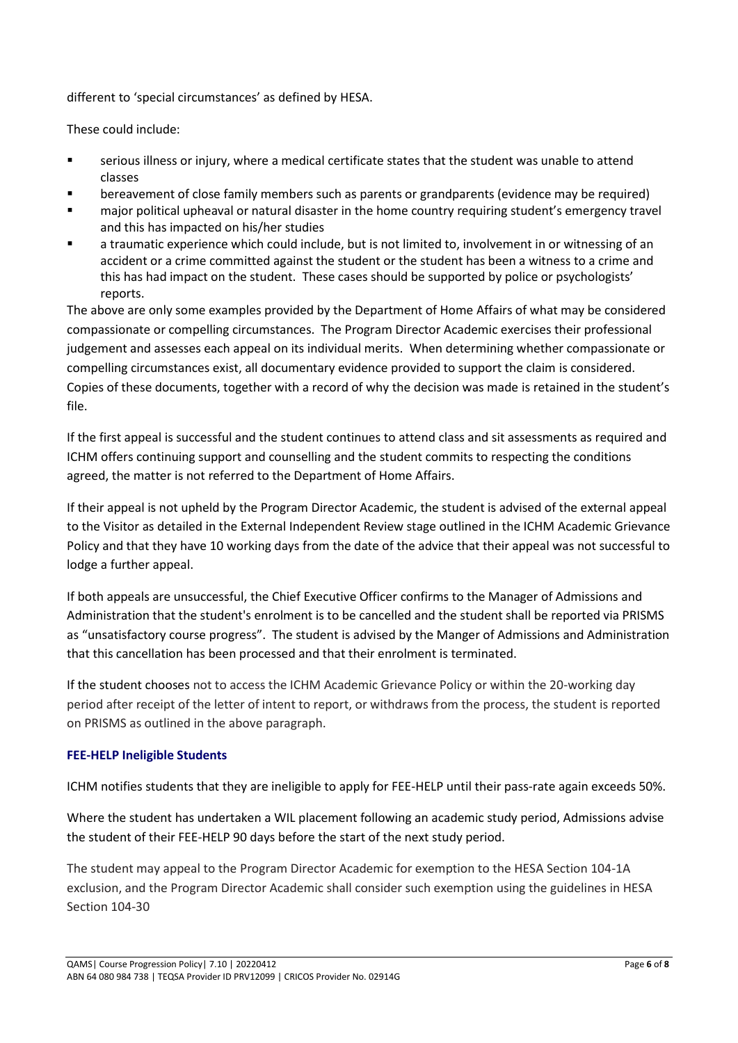different to 'special circumstances' as defined by HESA.

These could include:

- serious illness or injury, where a medical certificate states that the student was unable to attend classes
- bereavement of close family members such as parents or grandparents (evidence may be required)
- major political upheaval or natural disaster in the home country requiring student's emergency travel and this has impacted on his/her studies
- a traumatic experience which could include, but is not limited to, involvement in or witnessing of an accident or a crime committed against the student or the student has been a witness to a crime and this has had impact on the student. These cases should be supported by police or psychologists' reports.

The above are only some examples provided by the Department of Home Affairs of what may be considered compassionate or compelling circumstances. The Program Director Academic exercises their professional judgement and assesses each appeal on its individual merits. When determining whether compassionate or compelling circumstances exist, all documentary evidence provided to support the claim is considered. Copies of these documents, together with a record of why the decision was made is retained in the student's file.

If the first appeal is successful and the student continues to attend class and sit assessments as required and ICHM offers continuing support and counselling and the student commits to respecting the conditions agreed, the matter is not referred to the Department of Home Affairs.

If their appeal is not upheld by the Program Director Academic, the student is advised of the external appeal to the Visitor as detailed in the External Independent Review stage outlined in the ICHM Academic Grievance Policy and that they have 10 working days from the date of the advice that their appeal was not successful to lodge a further appeal.

If both appeals are unsuccessful, the Chief Executive Officer confirms to the Manager of Admissions and Administration that the student's enrolment is to be cancelled and the student shall be reported via PRISMS as "unsatisfactory course progress". The student is advised by the Manger of Admissions and Administration that this cancellation has been processed and that their enrolment is terminated.

If the student chooses not to access the ICHM Academic Grievance Policy or within the 20-working day period after receipt of the letter of intent to report, or withdraws from the process, the student is reported on PRISMS as outlined in the above paragraph.

#### **FEE-HELP Ineligible Students**

ICHM notifies students that they are ineligible to apply for FEE-HELP until their pass-rate again exceeds 50%.

Where the student has undertaken a WIL placement following an academic study period, Admissions advise the student of their FEE-HELP 90 days before the start of the next study period.

The student may appeal to the Program Director Academic for exemption to the HESA Section 104-1A exclusion, and the Program Director Academic shall consider such exemption using the guidelines in HESA Section 104-30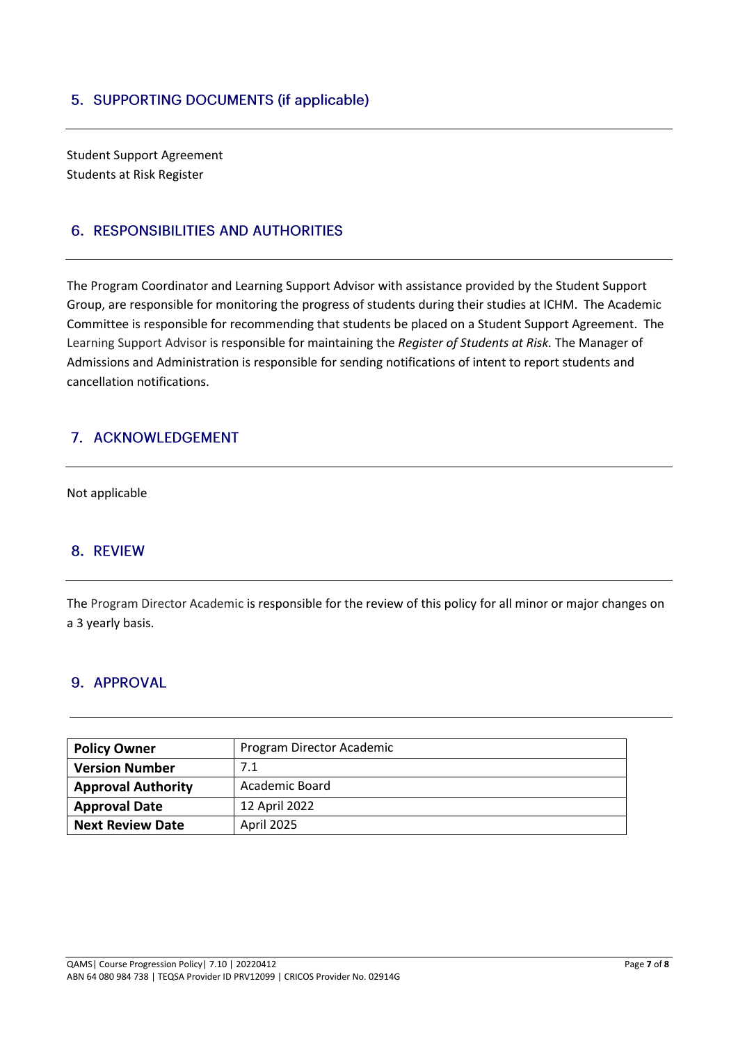Student Support Agreement Students at Risk Register

## **6. RESPONSIBILITIES AND AUTHORITIES**

The Program Coordinator and Learning Support Advisor with assistance provided by the Student Support Group, are responsible for monitoring the progress of students during their studies at ICHM. The Academic Committee is responsible for recommending that students be placed on a Student Support Agreement. The Learning Support Advisor is responsible for maintaining the *Register of Students at Risk.* The Manager of Admissions and Administration is responsible for sending notifications of intent to report students and cancellation notifications.

## 7. ACKNOWLEDGEMENT

Not applicable

## 8. REVIEW

The Program Director Academic is responsible for the review of this policy for all minor or major changes on a 3 yearly basis.

#### 9. APPROVAL

| <b>Policy Owner</b>       | Program Director Academic |
|---------------------------|---------------------------|
| <b>Version Number</b>     | 7.1                       |
| <b>Approval Authority</b> | Academic Board            |
| <b>Approval Date</b>      | 12 April 2022             |
| <b>Next Review Date</b>   | April 2025                |